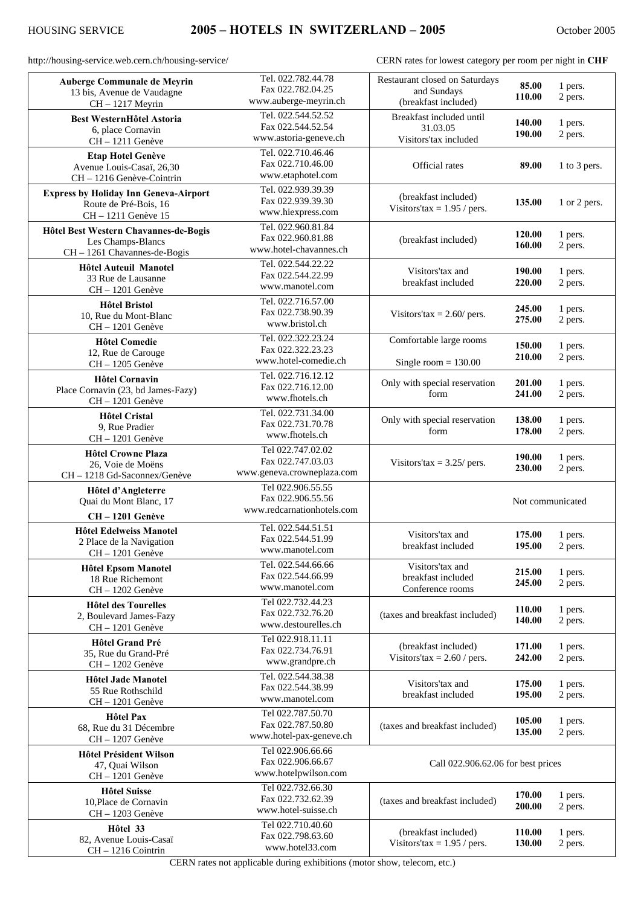http://housing-service.web.cern.ch/housing-service/ CERN rates for lowest category per room per night in **CHF**

| Auberge Communale de Meyrin                  | Tel. 022.782.44.78         | Restaurant closed on Saturdays     |                  |              |
|----------------------------------------------|----------------------------|------------------------------------|------------------|--------------|
|                                              | Fax 022.782.04.25          |                                    | 85.00            | 1 pers.      |
| 13 bis, Avenue de Vaudagne                   | www.auberge-meyrin.ch      | and Sundays<br>110.00              |                  | 2 pers.      |
| CH-1217 Meyrin                               |                            | (breakfast included)               |                  |              |
| <b>Best WesternHôtel Astoria</b>             | Tel. 022.544.52.52         | Breakfast included until           |                  |              |
|                                              | Fax 022.544.52.54          | 31.03.05                           | 140.00           | 1 pers.      |
| 6, place Cornavin                            | www.astoria-geneve.ch      | Visitors'tax included              | 190.00           | 2 pers.      |
| CH-1211 Genève                               |                            |                                    |                  |              |
| <b>Etap Hotel Genève</b>                     | Tel. 022.710.46.46         |                                    |                  |              |
|                                              | Fax 022.710.46.00          | Official rates                     | 89.00            | 1 to 3 pers. |
| Avenue Louis-Casaï, 26,30                    | www.etaphotel.com          |                                    |                  |              |
| CH - 1216 Genève-Cointrin                    |                            |                                    |                  |              |
| <b>Express by Holiday Inn Geneva-Airport</b> | Tel. 022.939.39.39         |                                    |                  |              |
| Route de Pré-Bois, 16                        | Fax 022.939.39.30          | (breakfast included)               | 135.00           | 1 or 2 pers. |
| CH-1211 Genève 15                            | www.hiexpress.com          | Visitors'tax = $1.95$ / pers.      |                  |              |
|                                              |                            |                                    |                  |              |
| Hôtel Best Western Chavannes-de-Bogis        | Tel. 022.960.81.84         |                                    | 120.00           |              |
| Les Champs-Blancs                            | Fax 022.960.81.88          | (breakfast included)               |                  | 1 pers.      |
| CH - 1261 Chavannes-de-Bogis                 | www.hotel-chavannes.ch     |                                    | 160.00           | 2 pers.      |
|                                              |                            |                                    |                  |              |
| <b>Hôtel Auteuil Manotel</b>                 | Tel. 022.544.22.22         | Visitors'tax and                   | 190.00           | 1 pers.      |
| 33 Rue de Lausanne                           | Fax 022.544.22.99          | breakfast included                 | 220.00           |              |
| $CH - 1201$ Genève                           | www.manotel.com            |                                    |                  | 2 pers.      |
|                                              | Tel. 022.716.57.00         |                                    |                  |              |
| <b>Hôtel Bristol</b>                         |                            |                                    | 245.00           | 1 pers.      |
| 10, Rue du Mont-Blanc                        | Fax 022.738.90.39          | Visitors' $tax = 2.60$ / pers.     | 275.00           | 2 pers.      |
| CH-1201 Genève                               | www.bristol.ch             |                                    |                  |              |
|                                              | Tel. 022.322.23.24         |                                    |                  |              |
| <b>Hôtel Comedie</b>                         | Fax 022.322.23.23          | Comfortable large rooms            | <b>150.00</b>    | 1 pers.      |
| 12, Rue de Carouge                           |                            |                                    | 210.00           | 2 pers.      |
| CH-1205 Genève                               | www.hotel-comedie.ch       | Single room $= 130.00$             |                  |              |
|                                              | Tel. 022.716.12.12         |                                    |                  |              |
| <b>Hôtel Cornavin</b>                        | Fax 022.716.12.00          | Only with special reservation      | 201.00           | 1 pers.      |
| Place Cornavin (23, bd James-Fazy)           |                            | form                               | 241.00           | 2 pers.      |
| CH-1201 Genève                               | www.fhotels.ch             |                                    |                  |              |
| <b>Hôtel Cristal</b>                         | Tel. 022.731.34.00         |                                    |                  |              |
|                                              | Fax 022.731.70.78          | Only with special reservation      | 138.00           | 1 pers.      |
| 9, Rue Pradier                               | www.fhotels.ch             | form                               | 178.00           | 2 pers.      |
| CH-1201 Genève                               |                            |                                    |                  |              |
| <b>Hôtel Crowne Plaza</b>                    | Tel 022.747.02.02          |                                    |                  |              |
| 26, Voie de Moëns                            | Fax 022.747.03.03          | Visitors'tax = $3.25$ / pers.      | 190.00           | 1 pers.      |
|                                              | www.geneva.crowneplaza.com |                                    | 230.00           | 2 pers.      |
| CH - 1218 Gd-Saconnex/Genève                 |                            |                                    |                  |              |
| Hôtel d'Angleterre                           | Tel 022.906.55.55          |                                    |                  |              |
| Quai du Mont Blanc, 17                       | Fax 022.906.55.56          |                                    | Not communicated |              |
|                                              | www.redcarnationhotels.com |                                    |                  |              |
| CH-1201 Genève                               |                            |                                    |                  |              |
| <b>Hôtel Edelweiss Manotel</b>               | Tel. 022.544.51.51         |                                    |                  |              |
|                                              | Fax 022.544.51.99          | Visitors'tax and                   | 175.00           | 1 pers.      |
| 2 Place de la Navigation                     | www.manotel.com            | breakfast included                 | 195.00           | 2 pers.      |
| $CH - 1201$ Genève                           |                            |                                    |                  |              |
| <b>Hôtel Epsom Manotel</b>                   | Tel. 022.544.66.66         | Visitors'tax and                   |                  |              |
| 18 Rue Richemont                             | Fax 022.544.66.99          | breakfast included                 | 215.00           | 1 pers.      |
| CH-1202 Genève                               | www.manotel.com            | Conference rooms                   | 245.00           | 2 pers.      |
|                                              |                            |                                    |                  |              |
| <b>Hôtel des Tourelles</b>                   | Tel 022.732.44.23          |                                    | 110.00           |              |
| 2, Boulevard James-Fazy                      | Fax 022.732.76.20          | (taxes and breakfast included)     |                  | 1 pers.      |
| CH-1201 Genève                               | www.destourelles.ch        |                                    | 140.00           | 2 pers.      |
|                                              | Tel 022.918.11.11          |                                    |                  |              |
| <b>Hôtel Grand Pré</b>                       |                            | (breakfast included)               | 171.00           | 1 pers.      |
| 35, Rue du Grand-Pré                         | Fax 022.734.76.91          | Visitors'tax = $2.60$ / pers.      | 242.00           | 2 pers.      |
| CH-1202 Genève                               | www.grandpre.ch            |                                    |                  |              |
|                                              | Tel. 022.544.38.38         |                                    |                  |              |
| <b>Hôtel Jade Manotel</b>                    |                            | Visitors'tax and                   | 175.00           | 1 pers.      |
| 55 Rue Rothschild                            | Fax 022.544.38.99          | breakfast included                 | 195.00           | 2 pers.      |
| CH-1201 Genève                               | www.manotel.com            |                                    |                  |              |
|                                              | Tel 022.787.50.70          |                                    |                  |              |
| <b>Hôtel Pax</b>                             | Fax 022.787.50.80          |                                    | 105.00           | 1 pers.      |
| 68, Rue du 31 Décembre                       |                            | (taxes and breakfast included)     | 135.00           | 2 pers.      |
| $CH - 1207$ Genève                           | www.hotel-pax-geneve.ch    |                                    |                  |              |
| <b>Hôtel Président Wilson</b>                | Tel 022.906.66.66          |                                    |                  |              |
|                                              | Fax 022.906.66.67          | Call 022.906.62.06 for best prices |                  |              |
| 47, Quai Wilson                              | www.hotelpwilson.com       |                                    |                  |              |
| CH-1201 Genève                               |                            |                                    |                  |              |
| <b>Hôtel Suisse</b>                          | Tel 022.732.66.30          |                                    |                  |              |
| 10, Place de Cornavin                        | Fax 022.732.62.39          | (taxes and breakfast included)     | 170.00           | 1 pers.      |
|                                              | www.hotel-suisse.ch        |                                    | 200.00           | 2 pers.      |
| CH-1203 Genève                               |                            |                                    |                  |              |
| Hôtel 33                                     | Tel 022.710.40.60          |                                    |                  |              |
| 82, Avenue Louis-Casaï                       | Fax 022.798.63.60          | (breakfast included)               | 110.00           | 1 pers.      |
|                                              | www.hotel33.com            | Visitors'tax = $1.95$ / pers.      | 130.00           | 2 pers.      |
| CH - 1216 Cointrin                           |                            |                                    |                  |              |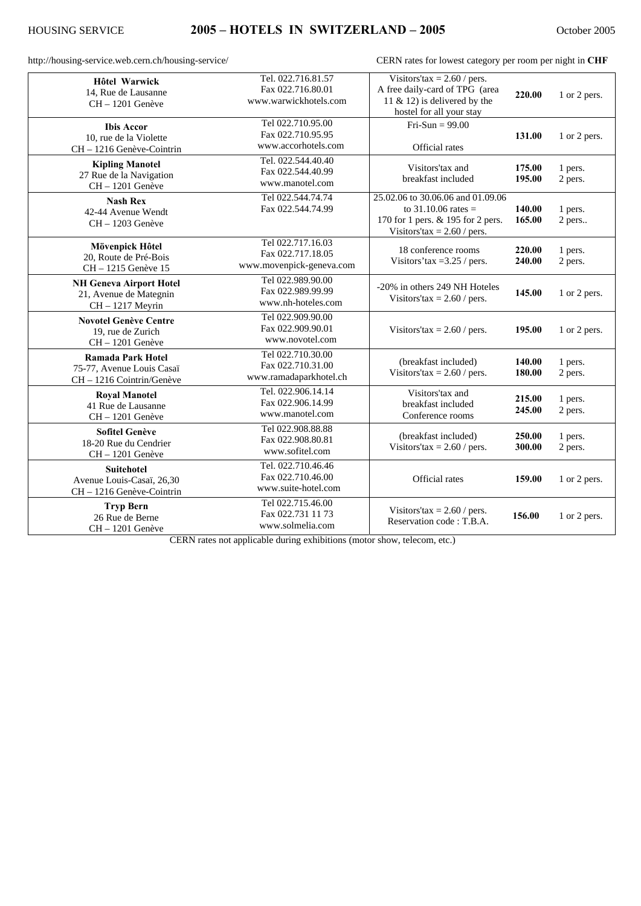http://housing-service.web.cern.ch/housing-service/ CERN rates for lowest category per room per night in **CHF**

| <b>Hôtel Warwick</b>                                                         | Tel. 022.716.81.57       | Visitors'tax = $2.60$ / pers.     |                  |              |
|------------------------------------------------------------------------------|--------------------------|-----------------------------------|------------------|--------------|
| 14, Rue de Lausanne                                                          | Fax 022.716.80.01        | A free daily-card of TPG (area    | 220.00           | 1 or 2 pers. |
| CH-1201 Genève                                                               | www.warwickhotels.com    | 11 & 12) is delivered by the      |                  |              |
|                                                                              |                          | hostel for all your stay          |                  |              |
| <b>Ibis Accor</b>                                                            | Tel 022.710.95.00        | Fri-Sun = $99.00$                 |                  |              |
| 10, rue de la Violette                                                       | Fax 022.710.95.95        |                                   | 131.00           | 1 or 2 pers. |
| CH - 1216 Genève-Cointrin                                                    | www.accorhotels.com      | Official rates                    |                  |              |
| <b>Kipling Manotel</b>                                                       | Tel. 022.544.40.40       | Visitors'tax and                  |                  |              |
| 27 Rue de la Navigation                                                      | Fax 022.544.40.99        | breakfast included                | 175.00           | 1 pers.      |
| CH-1201 Genève                                                               | www.manotel.com          |                                   | 195.00           | 2 pers.      |
| <b>Nash Rex</b>                                                              | Tel 022.544.74.74        | 25.02.06 to 30.06.06 and 01.09.06 |                  |              |
| 42-44 Avenue Wendt                                                           | Fax 022.544.74.99        | to 31.10.06 rates =               | 140.00           | 1 pers.      |
| $CH - 1203$ Genève                                                           |                          | 170 for 1 pers. & 195 for 2 pers. | 165.00           | 2 pers       |
|                                                                              |                          | Visitors'tax = $2.60$ / pers.     |                  |              |
| Mövenpick Hôtel                                                              | Tel 022.717.16.03        |                                   |                  |              |
| 20, Route de Pré-Bois                                                        | Fax 022.717.18.05        | 18 conference rooms               | 220.00           | 1 pers.      |
| CH - 1215 Genève 15                                                          | www.movenpick-geneva.com | Visitors'tax = $3.25$ / pers.     | 240.00           | 2 pers.      |
|                                                                              | Tel 022.989.90.00        |                                   |                  |              |
| <b>NH Geneva Airport Hotel</b><br>21, Avenue de Mategnin<br>CH - 1217 Meyrin | Fax 022.989.99.99        | -20% in others 249 NH Hoteles     | 145.00           | 1 or 2 pers. |
|                                                                              | www.nh-hoteles.com       | Visitors'tax = $2.60/$ pers.      |                  |              |
|                                                                              | Tel 022.909.90.00        |                                   |                  |              |
| <b>Novotel Genève Centre</b><br>19. rue de Zurich                            | Fax 022.909.90.01        | Visitors'tax = $2.60/$ pers.      | 195.00           | 1 or 2 pers. |
| $CH - 1201$ Genève                                                           | www.novotel.com          |                                   |                  |              |
|                                                                              | Tel 022.710.30.00        |                                   |                  |              |
| <b>Ramada Park Hotel</b>                                                     | Fax 022.710.31.00        | (breakfast included)              | 140.00           | 1 pers.      |
| 75-77, Avenue Louis Casaï                                                    | www.ramadaparkhotel.ch   | Visitors' $tax = 2.60$ / pers.    | 180.00           | 2 pers.      |
| CH - 1216 Cointrin/Genève                                                    |                          |                                   |                  |              |
| <b>Royal Manotel</b>                                                         | Tel. 022.906.14.14       | Visitors'tax and                  | 215.00           | 1 pers.      |
| 41 Rue de Lausanne                                                           | Fax 022.906.14.99        | breakfast included                | 245.00           | 2 pers.      |
| CH-1201 Genève                                                               | www.manotel.com          | Conference rooms                  |                  |              |
| <b>Sofitel Genève</b>                                                        | Tel 022.908.88.88        |                                   |                  |              |
| 18-20 Rue du Cendrier                                                        | Fax 022.908.80.81        | (breakfast included)              | 250.00<br>300.00 | 1 pers.      |
| CH-1201 Genève                                                               | www.sofitel.com          | Visitors'tax = $2.60$ / pers.     |                  | 2 pers.      |
| <b>Suitehotel</b>                                                            | Tel. 022.710.46.46       |                                   |                  |              |
| Avenue Louis-Casaï, 26,30                                                    | Fax 022.710.46.00        | Official rates                    | 159.00           | 1 or 2 pers. |
| CH - 1216 Genève-Cointrin                                                    | www.suite-hotel.com      |                                   |                  |              |
|                                                                              | Tel 022.715.46.00        |                                   |                  |              |
| <b>Tryp Bern</b>                                                             | Fax 022.731 11 73        | Visitors'tax = $2.60/$ pers.      | 156.00           | 1 or 2 pers. |
| 26 Rue de Berne                                                              | www.solmelia.com         | Reservation code: T.B.A.          |                  |              |
| $CH - 1201$ Genève                                                           |                          |                                   |                  |              |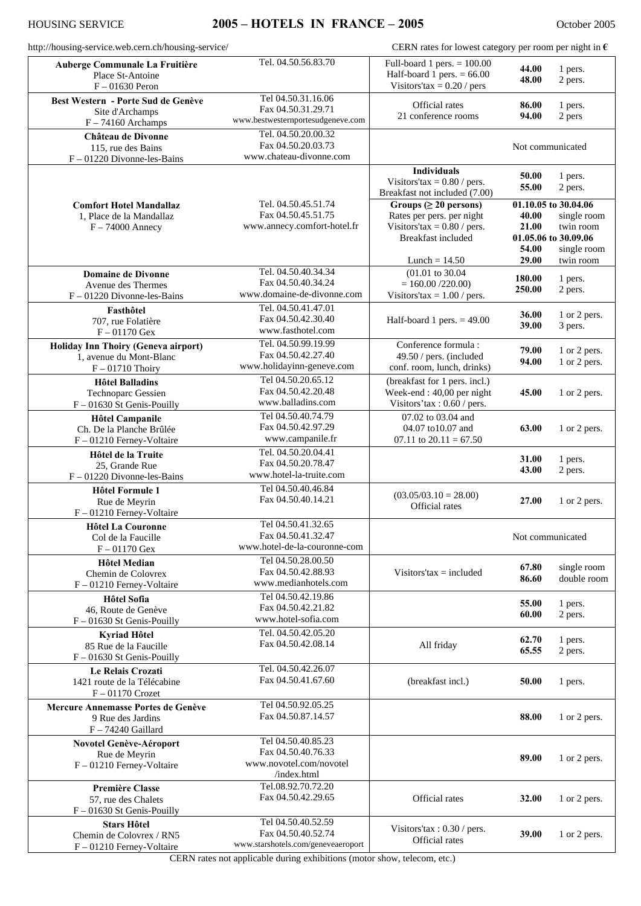## HOUSING SERVICE **2005 – HOTELS IN FRANCE – 2005** October 2005

| http://housing-service.web.cern.ch/housing-service/                                  |                                                                                    | CERN rates for lowest category per room per night in $\epsilon$                                                                            |                                  |                                                                                                      |
|--------------------------------------------------------------------------------------|------------------------------------------------------------------------------------|--------------------------------------------------------------------------------------------------------------------------------------------|----------------------------------|------------------------------------------------------------------------------------------------------|
| Auberge Communale La Fruitière<br>Place St-Antoine<br>$F - 01630$ Peron              | Tel. 04.50.56.83.70                                                                | Full-board 1 pers. $= 100.00$<br>Half-board 1 pers. $= 66.00$<br>Visitors' $tax = 0.20$ / pers                                             | 44.00<br>48.00                   | 1 pers.<br>2 pers.                                                                                   |
| Best Western - Porte Sud de Genève<br>Site d'Archamps<br>$F - 74160$ Archamps        | Tel 04.50.31.16.06<br>Fax 04.50.31.29.71<br>www.bestwesternportesudgeneve.com      | Official rates<br>21 conference rooms                                                                                                      | 86.00<br>94.00                   | 1 pers.<br>2 pers                                                                                    |
| Château de Divonne<br>115, rue des Bains<br>$F - 01220$ Divonne-les-Bains            | Tel. 04.50.20.00.32<br>Fax 04.50.20.03.73<br>www.chateau-divonne.com               |                                                                                                                                            | Not communicated                 |                                                                                                      |
|                                                                                      |                                                                                    | <b>Individuals</b><br>Visitors'tax = $0.80$ / pers.<br>Breakfast not included (7.00)                                                       | 50.00<br>55.00                   | 1 pers.<br>2 pers.                                                                                   |
| <b>Comfort Hotel Mandallaz</b><br>1, Place de la Mandallaz<br>$F - 74000$ Annecy     | Tel. 04.50.45.51.74<br>Fax 04.50.45.51.75<br>www.annecy.comfort-hotel.fr           | Groups ( $\geq 20$ persons)<br>Rates per pers. per night<br>Visitors' $tax = 0.80$ / pers.<br><b>Breakfast</b> included<br>Lunch = $14.50$ | 40.00<br>21.00<br>54.00<br>29.00 | 01.10.05 to 30.04.06<br>single room<br>twin room<br>01.05.06 to 30.09.06<br>single room<br>twin room |
| <b>Domaine de Divonne</b><br>Avenue des Thermes<br>$F - 01220$ Divonne-les-Bains     | Tel. 04.50.40.34.34<br>Fax 04.50.40.34.24<br>www.domaine-de-divonne.com            | $(01.01 \text{ to } 30.04)$<br>$= 160.00 / 220.00$<br>Visitors'tax = $1.00$ / pers.                                                        | 180.00<br>250.00                 | 1 pers.<br>2 pers.                                                                                   |
| Fasthôtel<br>707, rue Folatière<br>$F - 01170$ Gex                                   | Tel. 04.50.41.47.01<br>Fax 04.50.42.30.40<br>www.fasthotel.com                     | Half-board 1 pers. $= 49.00$                                                                                                               | 36.00<br>39.00                   | 1 or 2 pers.<br>3 pers.                                                                              |
| Holiday Inn Thoiry (Geneva airport)<br>1, avenue du Mont-Blanc<br>$F - 01710$ Thoiry | Tel. 04.50.99.19.99<br>Fax 04.50.42.27.40<br>www.holidayinn-geneve.com             | Conference formula:<br>49.50 / pers. (included<br>conf. room, lunch, drinks)                                                               | 79.00<br>94.00                   | 1 or 2 pers.<br>1 or 2 pers.                                                                         |
| <b>Hôtel Balladins</b><br><b>Technoparc Gessien</b><br>F - 01630 St Genis-Pouilly    | Tel 04.50.20.65.12<br>Fax 04.50.42.20.48<br>www.balladins.com                      | (breakfast for 1 pers. incl.)<br>Week-end: 40,00 per night<br>Visitors'tax: 0.60 / pers.                                                   | 45.00                            | 1 or 2 pers.                                                                                         |
| <b>Hôtel Campanile</b><br>Ch. De la Planche Brûlée<br>F-01210 Ferney-Voltaire        | Tel 04.50.40.74.79<br>Fax 04.50.42.97.29<br>www.campanile.fr                       | 07.02 to 03.04 and<br>04.07 to10.07 and<br>07.11 to $20.11 = 67.50$                                                                        | 63.00                            | 1 or 2 pers.                                                                                         |
| Hôtel de la Truite<br>25, Grande Rue<br>$F - 01220$ Divonne-les-Bains                | Tel. 04.50.20.04.41<br>Fax 04.50.20.78.47<br>www.hotel-la-truite.com               |                                                                                                                                            | 31.00<br>43.00                   | 1 pers.<br>2 pers.                                                                                   |
| <b>Hôtel Formule 1</b><br>Rue de Meyrin<br>F - 01210 Ferney-Voltaire                 | Tel 04.50.40.46.84<br>Fax 04.50.40.14.21                                           | $(03.05/03.10 = 28.00)$<br>Official rates                                                                                                  | 27.00                            | 1 or 2 pers.                                                                                         |
| <b>Hôtel La Couronne</b><br>Col de la Faucille<br>$F - 01170$ Gex                    | Tel 04.50.41.32.65<br>Fax 04.50.41.32.47<br>www.hotel-de-la-couronne-com           |                                                                                                                                            | Not communicated                 |                                                                                                      |
| Hôtel Median<br>Chemin de Colovrex<br>F-01210 Ferney-Voltaire                        | Tel 04.50.28.00.50<br>Fax 04.50.42.88.93<br>www.medianhotels.com                   | Visitors' $tax = included$                                                                                                                 | 67.80<br>86.60                   | single room<br>double room                                                                           |
| Hôtel Sofia<br>46, Route de Genève<br>F - 01630 St Genis-Pouilly                     | Tel 04.50.42.19.86<br>Fax 04.50.42.21.82<br>www.hotel-sofia.com                    |                                                                                                                                            | 55.00<br>60.00                   | 1 pers.<br>2 pers.                                                                                   |
| Kyriad Hôtel<br>85 Rue de la Faucille<br>$F - 01630$ St Genis-Pouilly                | Tel. 04.50.42.05.20<br>Fax 04.50.42.08.14                                          | All friday                                                                                                                                 | 62.70<br>65.55                   | 1 pers.<br>2 pers.                                                                                   |
| Le Relais Crozati<br>1421 route de la Télécabine<br>$F - 01170$ Crozet               | Tel. 04.50.42.26.07<br>Fax 04.50.41.67.60                                          | (breakfast incl.)                                                                                                                          | 50.00                            | 1 pers.                                                                                              |
| Mercure Annemasse Portes de Genève<br>9 Rue des Jardins<br>F - 74240 Gaillard        | Tel 04.50.92.05.25<br>Fax 04.50.87.14.57                                           |                                                                                                                                            | 88.00                            | 1 or 2 pers.                                                                                         |
| Novotel Genève-Aéroport<br>Rue de Meyrin<br>F-01210 Ferney-Voltaire                  | Tel 04.50.40.85.23<br>Fax 04.50.40.76.33<br>www.novotel.com/novotel<br>/index.html |                                                                                                                                            | 89.00                            | 1 or 2 pers.                                                                                         |
| <b>Première Classe</b><br>57, rue des Chalets<br>F - 01630 St Genis-Pouilly          | Tel.08.92.70.72.20<br>Fax 04.50.42.29.65                                           | Official rates                                                                                                                             | 32.00                            | 1 or 2 pers.                                                                                         |
| <b>Stars Hôtel</b><br>Chemin de Colovrex / RN5<br>F-01210 Ferney-Voltaire            | Tel 04.50.40.52.59<br>Fax 04.50.40.52.74<br>www.starshotels.com/geneveaeroport     | Visitors'tax: 0.30 / pers.<br>Official rates                                                                                               | 39.00                            | 1 or 2 pers.                                                                                         |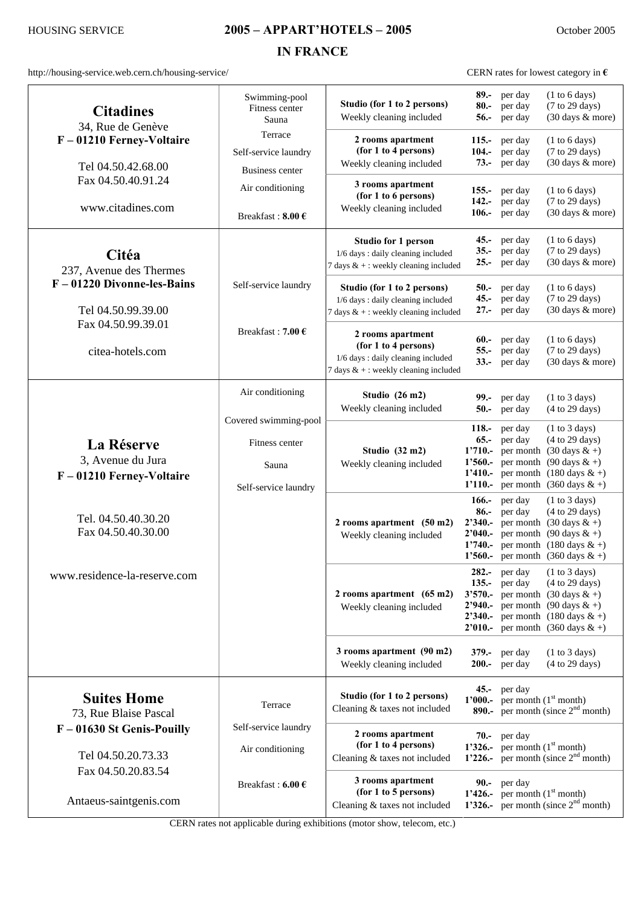## HOUSING SERVICE **2005 – APPART'HOTELS – 2005** October 2005

**IN FRANCE** 

http://housing-service.web.cern.ch/housing-service/ CERN rates for lowest category in **€** 

| <b>Citadines</b><br>34, Rue de Genève<br>F-01210 Ferney-Voltaire<br>Tel 04.50.42.68.00 | Swimming-pool<br>Fitness center<br>Sauna           | Studio (for 1 to 2 persons)<br>Weekly cleaning included                                                                   | $89. -$<br>$80 -$<br>$56. -$                    | per day<br>per day<br>per day                            | (1 to 6 days)<br>(7 to 29 days)<br>(30 days & more)                                                                                                                                                                                       |
|----------------------------------------------------------------------------------------|----------------------------------------------------|---------------------------------------------------------------------------------------------------------------------------|-------------------------------------------------|----------------------------------------------------------|-------------------------------------------------------------------------------------------------------------------------------------------------------------------------------------------------------------------------------------------|
|                                                                                        | Terrace<br>Self-service laundry<br>Business center | 2 rooms apartment<br>(for 1 to 4 persons)<br>Weekly cleaning included                                                     | $115. -$<br>$104. -$<br>$73. -$                 | per day<br>per day<br>per day                            | (1 to 6 days)<br>(7 to 29 days)<br>(30 days & more)                                                                                                                                                                                       |
| Fax 04.50.40.91.24<br>www.citadines.com                                                | Air conditioning<br>Breakfast: $8.00 \text{ } \in$ | 3 rooms apartment<br>(for 1 to 6 persons)<br>Weekly cleaning included                                                     | $155. -$<br>$142 -$<br>$106. -$                 | per day<br>per day<br>per day                            | (1 to 6 days)<br>(7 to 29 days)<br>(30 days & more)                                                                                                                                                                                       |
| Citéa<br>237, Avenue des Thermes                                                       |                                                    | <b>Studio for 1 person</b><br>1/6 days: daily cleaning included<br>7 days $\&$ + : weekly cleaning included               | $35 -$<br>$25. -$                               | $45.$ per day<br>per day<br>per day                      | (1 to 6 days)<br>(7 to 29 days)<br>(30 days & more)                                                                                                                                                                                       |
| $F - 01220$ Divonne-les-Bains<br>Tel 04.50.99.39.00                                    | Self-service laundry<br>Breakfast: 7.00 $\epsilon$ | Studio (for 1 to 2 persons)<br>1/6 days: daily cleaning included<br>7 days $&+$ : weekly cleaning included                | $45. -$                                         | $50 - \text{per day}$<br>per day<br>$27.$ per day        | (1 to 6 days)<br>(7 to 29 days)<br>(30 days & more)                                                                                                                                                                                       |
| Fax 04.50.99.39.01<br>citea-hotels.com                                                 |                                                    | 2 rooms apartment<br>(for 1 to 4 persons)<br>1/6 days: daily cleaning included<br>7 days $& +$ : weekly cleaning included | $60 -$<br>$55 -$<br>$33 -$                      | per day<br>per day<br>per day                            | (1 to 6 days)<br>(7 to 29 days)<br>(30 days & more)                                                                                                                                                                                       |
|                                                                                        | Air conditioning<br>Covered swimming-pool          | Studio (26 m2)<br>Weekly cleaning included                                                                                | $99. -$<br>$50 -$                               | per day<br>per day                                       | (1 to 3 days)<br>(4 to 29 days)                                                                                                                                                                                                           |
| La Réserve<br>3, Avenue du Jura<br>F-01210 Ferney-Voltaire                             | Fitness center<br>Sauna<br>Self-service laundry    | Studio (32 m2)<br>Weekly cleaning included                                                                                | $118. -$<br>$65. -$<br>$1'560. -$<br>$1'110. -$ | per day<br>per day                                       | (1 to 3 days)<br>(4 to 29 days)<br>1'710.- per month $(30 \text{ days } 8x + )$<br>per month (90 days $&+$ )<br>1'410.- per month $(180 \text{ days } 8x + )$<br>per month $(360 \text{ days } 8x + )$                                    |
| Tel. 04.50.40.30.20<br>Fax 04.50.40.30.00                                              |                                                    | 2 rooms apartment (50 m2)<br>Weekly cleaning included                                                                     | $166. -$<br>$86. -$<br>2'040.<br>$1'740 -$      | per day<br>per day                                       | (1 to 3 days)<br>(4 to 29 days)<br><b>2'340.</b> - per month $(30 \text{ days } 8x + )$<br>per month (90 days $& +$ )<br>per month $(180 \text{ days } \& +)$<br>1'560.- per month $(360 \text{ days } 8x + )$                            |
| www.residence-la-reserve.com                                                           |                                                    | 2 rooms apartment $(65 \text{ m2})$<br>Weekly cleaning included                                                           | $135. -$<br>$3'570. -$                          | $282 -$ per day<br>per day                               | (1 to 3 days)<br>(4 to 29 days)<br>per month $(30 \text{ days } 8x + )$<br>2'940.- per month $(90 \text{ days } 8t + )$<br><b>2'340.</b> - per month $(180 \text{ days } 8x + )$<br><b>2'010.</b> - per month $(360 \text{ days } 8x + )$ |
|                                                                                        |                                                    | 3 rooms apartment (90 m2)<br>Weekly cleaning included                                                                     |                                                 | $379 - \text{per day}$<br>$200 - \text{per day}$         | (1 to 3 days)<br>(4 to 29 days)                                                                                                                                                                                                           |
| <b>Suites Home</b><br>73, Rue Blaise Pascal                                            | Terrace                                            | Studio (for 1 to 2 persons)<br>Cleaning & taxes not included                                                              |                                                 | $45.$ per day<br>1'000.- per month $(1st$ month)         | 890.- per month (since $2nd$ month)                                                                                                                                                                                                       |
| F - 01630 St Genis-Pouilly<br>Tel 04.50.20.73.33                                       | Self-service laundry<br>Air conditioning           | 2 rooms apartment<br>(for 1 to 4 persons)<br>Cleaning & taxes not included                                                |                                                 | $70 - \text{per day}$<br>1'326.- per month $(1st$ month) | 1'226.- per month (since $2nd$ month)                                                                                                                                                                                                     |
| Fax 04.50.20.83.54<br>Antaeus-saintgenis.com                                           | Breakfast: 6.00 €                                  | 3 rooms apartment<br>(for 1 to 5 persons)<br>Cleaning & taxes not included                                                |                                                 | $90 - \text{per day}$<br>1'426.- per month $(1st$ month) | 1'326.- per month (since $2nd$ month)                                                                                                                                                                                                     |